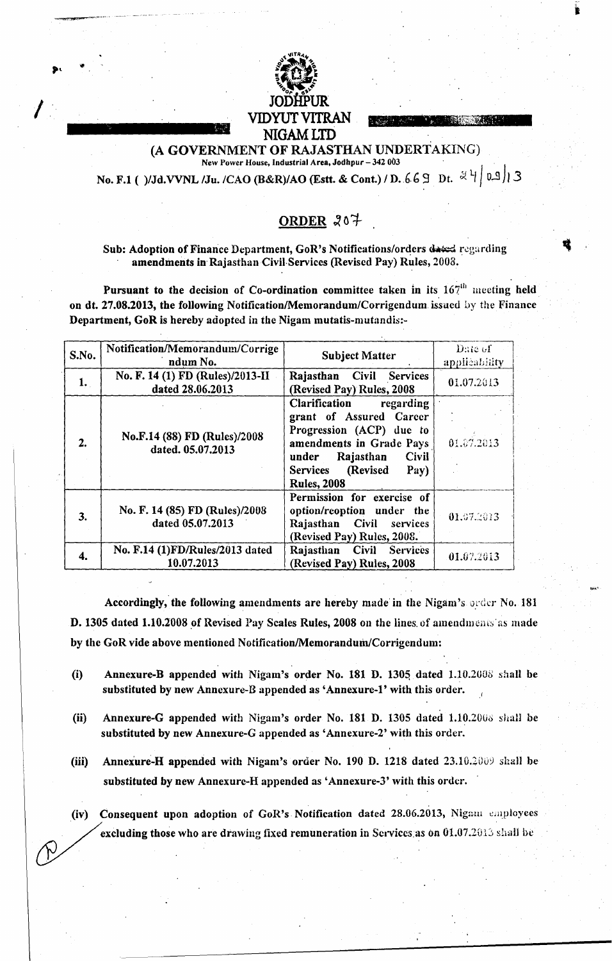

(A GOVERNMENT OF RAJASTHAN UNDERTAKING) New Power House, Industrial Area, Jodhpur - 342 003

No. F.1 ( )/Jd.VVNL /Ju. /CAO (B&R)/AO (Estt. & Cont.) / D. 669 Dt.  $\frac{1}{2}$ | 0.9 | 3

# ORDER 207

## Sub: Adoption of Finance Department, GoR's Notifications/orders dated regarding amendments in Rajasthan Civil Services (Revised Pay) Rules, 2003.

Pursuant to the decision of Co-ordination committee taken in its 167<sup>th</sup> meeting held on dt. 27.08.2013, the following Notification/Memorandum/Corrigendum issued by the Finance Department, GoR is hereby adopted in the Nigam mutatis-mutandis:-

| S.No. | Notification/Memorandum/Corrige<br>ndum No.          | <b>Subject Matter</b>                                                                                                                                                                                      | Date of<br>applicability |
|-------|------------------------------------------------------|------------------------------------------------------------------------------------------------------------------------------------------------------------------------------------------------------------|--------------------------|
| 1.    | No. F. 14 (1) FD (Rules)/2013-II<br>dated 28.06.2013 | Rajasthan Civil Services<br>(Revised Pay) Rules, 2008                                                                                                                                                      | 01.07.2013               |
| 2.    | No.F.14 (88) FD (Rules)/2008<br>dated. 05.07.2013    | <b>Clarification</b><br>regarding<br>grant of Assured Career<br>Progression (ACP) due to<br>amendments in Grade Pays<br>under Rajasthan<br><b>Civil</b><br>Services (Revised<br>Pay)<br><b>Rules, 2008</b> | 01.07.2013               |
| 3.    | No. F. 14 (85) FD (Rules)/2008<br>dated 05.07.2013   | Permission for exercise of<br>option/reoption under the<br>Rajasthan Civil services<br>(Revised Pay) Rules, 2008.                                                                                          | 01.07.2013               |
| 4.    | No. F.14 (1) FD/Rules/2013 dated<br>10.07.2013       | <b>Civil</b><br>Rajasthan<br><b>Services</b><br>(Revised Pay) Rules, 2008                                                                                                                                  | 01.07.2013               |

Accordingly, the following amendments are hereby made in the Nigam's order No. 181 D. 1305 dated 1.10.2008 of Revised Pay Scales Rules, 2008 on the lines of amendments as made by the GoR vide above mentioned Notification/Memorandum/Corrigendum:

- Annexure-B appended with Nigam's order No. 181 D. 1305 dated 1.10.2008 shall be  $(i)$ substituted by new Annexure-B appended as 'Annexure-1' with this order.
- Annexure-G appended with Nigam's order No. 181 D. 1305 dated 1.10.2008 shall be  $(ii)$ substituted by new Annexure-G appended as 'Annexure-2' with this order.
- Annexure-H appended with Nigam's order No. 190 D. 1218 dated 23.10.2009 shall be  $(iii)$ substituted by new Annexure-H appended as 'Annexure-3' with this order.
- (iv) Consequent upon adoption of GoR's Notification dated 28.06.2013, Nigam employees excluding those who are drawing fixed remuneration in Services as on 01.07.2013 shall be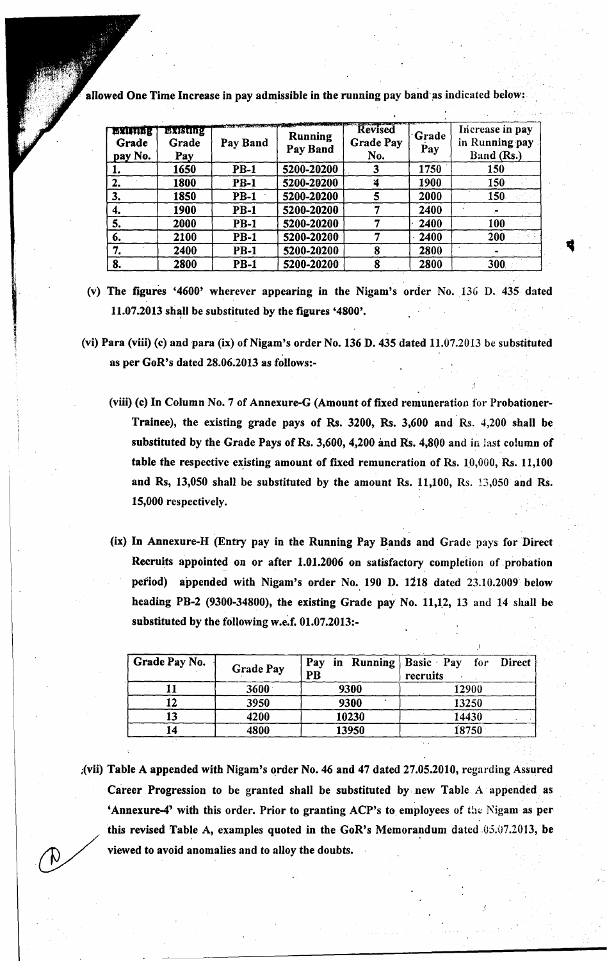| <b>BEISTING</b><br>Grade<br>pay No. | Existing<br>Grade<br>Pay | Pay Band    | <b>Running</b><br>Pay Band | Revised<br><b>Grade Pay</b><br>No. | <b>Grade</b><br>Pay | Increase in pay<br>in Running pay<br>Band (Rs.) |
|-------------------------------------|--------------------------|-------------|----------------------------|------------------------------------|---------------------|-------------------------------------------------|
| ı.                                  | 1650                     | $PB-1$      | 5200-20200                 |                                    | 1750                | 150                                             |
| 2.                                  | 1800                     | <b>PB-1</b> | 5200-20200                 | Ά                                  | 1900                | 150                                             |
| 3.                                  | 1850                     | <b>PB-1</b> | 5200-20200                 |                                    | 2000                | 150                                             |
| 4.                                  | 1900                     | <b>PB-1</b> | 5200-20200                 |                                    | 2400                |                                                 |
| 5.                                  | 2000                     | <b>PB-1</b> | 5200-20200                 |                                    | 2400                | 100                                             |
| 6.                                  | 2100                     | <b>PB-1</b> | 5200-20200                 |                                    | 2400                | 200                                             |
| 7.                                  | 2400                     | $PB-1$      | 5200-20200                 |                                    | 2800                |                                                 |
| 8.                                  | 2800                     | <b>PB-1</b> | 5200-20200                 | 8                                  | 2800                | 300                                             |

allowed One Time Increase in pay admissible in the running pay band as indicated below:

- (v) The figures '4600' wherever appearing in the Nigam's order No. 136 D. 435 dated  $11.07.2013$  shall be substituted by the figures '4800'.
- (vi) Para (viii) (c) and para (ix) of Nigam's order No. 136 D. 435 dated 11.07.2013 be substituted as per GoR's dated 28.06.2013 as follows:-
	- (viii) (c) In Column No.7 of Annexure-G (Amount of fixed remuneration for Probationer-Trainee), the existing grade pays of Rs. 3200, Rs. 3,600 and Rs. 4,200 shall be substituted by the Grade Pays of Rs. 3,600, 4,200 and Rs. 4,800 and in last column of table the respective existing amount of fixed remuneration of Rs.  $10,000$ , Rs.  $11,100$ and Rs,  $13,050$  shall be substituted by the amount Rs.  $11,100$ , Rs.  $13,050$  and Rs. 15,000 respectively.
	- (ix) In Annexure-H (Entry pay in the Running Pay Bands and Grade pays for Direct Recruits appointed on or after 1.01.2006 on satisfactory completion of probation period) appended with Nigam's order No. 190 D. 1218 dated 23.10.2009 below heading PB-2 (9300-34800), the existing Grade pay No. 11,12, 13 and 14 shall be substituted by the following w.e.f, 01.07.2013:-

| Grade Pay No. | <b>Grade Pay</b> | Pay in Running<br>PB | Basic Pay for Direct<br>recruits |  |
|---------------|------------------|----------------------|----------------------------------|--|
|               | 3600             | 9300                 | 12900                            |  |
| 12            | 3950             | 9300                 | 13250                            |  |
| 13            | 4200             | 10230                | 14430                            |  |
|               | 4800             | 13950                | 18750                            |  |

;(vii) Table A appended with Nigam's order No. 46 and 47 dated 27.05.2010, regarding Assured Career Progression to be granted shall be substituted by new Table A appended as 'Annexure-4' with this order. Prior to granting ACP's to employees of the Nigam as per this revised Table A, examples quoted in the GoR's Memorandum dated  $.05.07.2013$ , be viewed to avoid anomalies and to alloy the doubts.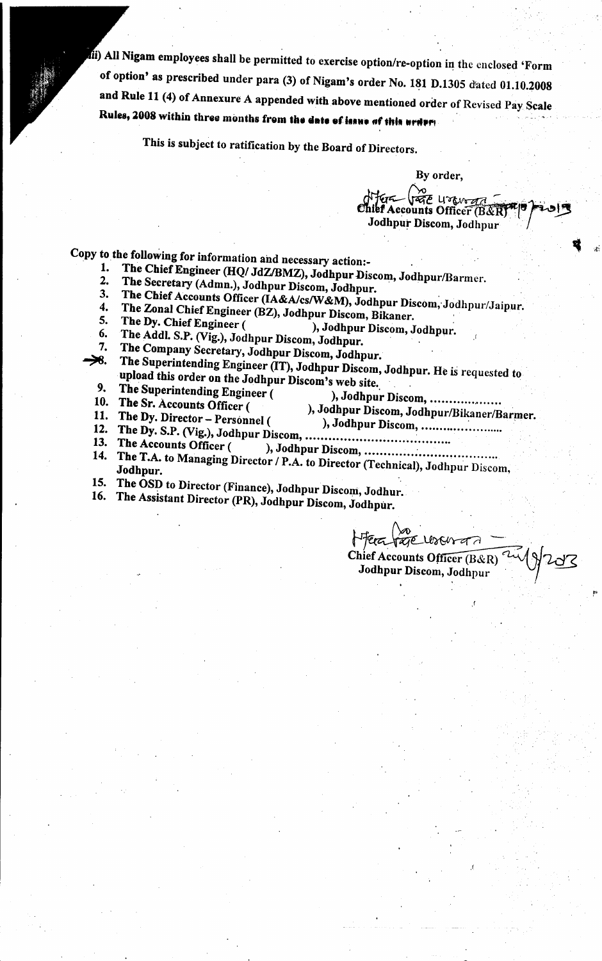All Nigam employees shall be permitted to exercise option/rc-option in the enclosed 'Form of option' as prescribed under para (3) of Nigam's order No. 181 D.1305 dated 01.10.2008 and Rule 11 (4) of Annexure A appended with above mentioned order of Revised Pay Scale Rules, 2008 within three months from the date of issue of this order;

This is subject to ratification by the Board of Directors.

By order, *<del><i>Adden*</del> (1980-1997)<br>hief Accounts Officer (B&R)

 $\bullet$  ,  $\bullet$ 

- Copy to the following for information and necessary action:-<br>1. The Chief Engineer (HO/ LIZ(PMZ), Latter Chief
	- 1. The Chief Engineer (HQ/ JdZ/BMZ), Jodhpur Discom, Jodhpur/Barmer.<br>2. The Secretary (Admn), Jodhnur Discours, J. W. 2. The Secretary (Admn.), Jodhpur Discom, Jodhpur.<br>3. The Chief Accounts Officer (LA & A (se Ni 2)
	-
	- 3. The Chief Accounts Officer (IA&A/cs/W&M), Jodhpur Discom, Jodhpur/Jaipur.<br>4. The Zonal Chief Engineer (B7), Jodhnur Discouse Dil 4. The Zonal Chief Engineer (BZ), Jodhpur Discom, Bikaner.<br>5. The Dy. Chief Engineer (Sample 1), Jodhpur Discom.
	-
	- 5. The Dy. Chief Engineer (chief and bodhpur Discom, Jodhpur.<br>6. The Addl. S.P. (Vig.), Jodhnur Discom, J. W.
	- 6. The Addl. S.P. (Vig.), Jodhpur Discom, Jodhpur.<br>7. The Company Secretary, Jodhman D.
	- 7. The Company Secretary, Jodhpur Discom, Jodhpur.<br>
	>8. The Sunerintending Engineer (TD, Y, W. D.) The Superintending Engineer (IT), Jodhpur Discom, Jodhpur. He is requested to
	- upload this order on the Jodhpur Discom's web site.<br>The Superintending Engineer (All and All and All and All and All and All and All and All and All and All and A 9. The Superintending Engineer ( ), Jodhpur Discom, •...................
	-
	-
- 
- 10. The Sr. Accounts Officer ( ), Jodhpur Discom, JodhpurlBikanerlBaqner. 11. The Dy. Director - Personnel ( ), Jodhpur Discom, ' .
- 12. The Dy. S.P. (Vig.), Jodhpur Discom, ..•......................... ~ .
- $14.$  The Accounts Officer ( ), Jodhpur Discom,  $\ldots$  $\ldots$
- 14. The T.A. to Managing Director / P.A. to Director (Technical), Jodhpur Discom, Jodhpu
- 15. The OSD to Director (Finance), Jodhpur Discom, Jodhur.
- 16. The Assistant Director (PR), Jodhpur Discom, Jodhpur.

 $z\tau\in$  UsA Chief Accounts Officer  $(B & R)$ Jodhpur Discom, Jodhpur I *I· .*

.r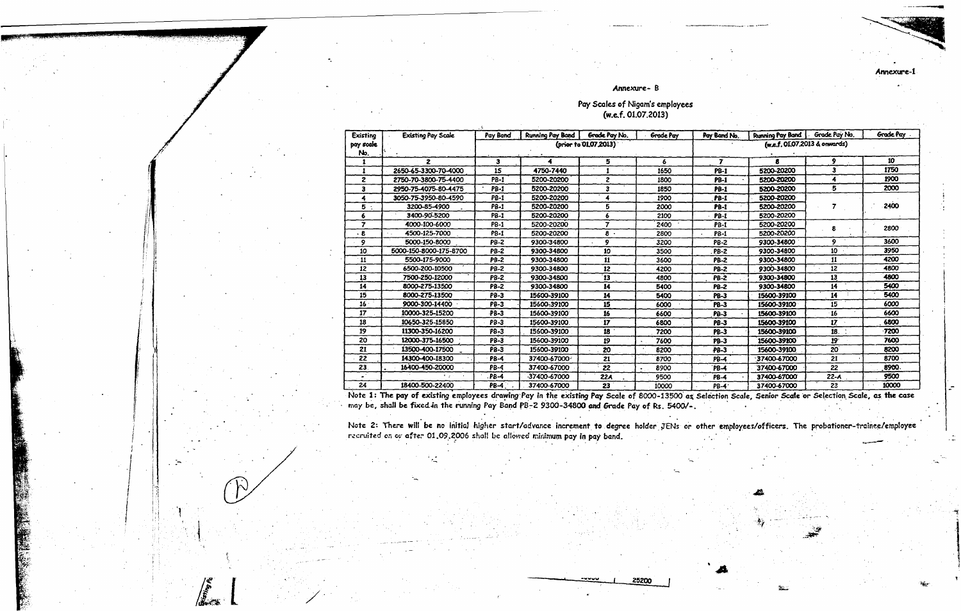#### Annexure-B

# Pay Scales of Nigam's employees<br>(w.e.f. 01.07.2013)

| Existing        | <b>Existing Pay Scale</b> | Pay Band    | <b>Running Pay Band</b> | Grade Pay No.         | <b>Grade Pay</b>  | Pay Band No.            | <b>Running Pay Band</b>       | Grade Pay No. | Grade Pav |
|-----------------|---------------------------|-------------|-------------------------|-----------------------|-------------------|-------------------------|-------------------------------|---------------|-----------|
| pay scale       |                           |             |                         | (prior to 01.07.2013) |                   |                         | (w.e.f. 01.07.2013 & onwards) |               |           |
| No.             |                           |             |                         |                       |                   |                         |                               |               |           |
|                 | $\overline{\mathbf{z}}$   | з           |                         | 5.                    | 6                 | $\overline{\mathbf{z}}$ | R                             | 9             | 10        |
| -1              | 2650-65-3300-70-4000      | 15          | 4750-7440               |                       | 1650              | <b>PB-1</b>             | 5200-20200                    | 3             | 1750      |
| $\overline{z}$  | 2750-70-3800-75-4400      | <b>PB-1</b> | 5200-20200              | $\overline{c}$        | 1800              | <b>PB-1</b>             | 5200-20200                    | 4             | 1900      |
| з               | 2950-75-4075-80-4475      | <b>PB-1</b> | 5200-20200              | з                     | 1850              | <b>PB-1</b>             | 5200-20200                    | 5             | 2000      |
|                 | 3050-75-3950-80-4590      | <b>PB-1</b> | 5200-20200              |                       | 1900              | <b>PB-1</b>             | 5200-20200                    |               |           |
| 5               | 3200-85-4900              | <b>PB-1</b> | 5200-20200              | 5                     | 2000              | <b>PB-1</b>             | 5200-20200                    |               | 2400      |
|                 | 3400-90-5200              | <b>PB-1</b> | 5200-20200              | A                     | 2100              | <b>PB-1</b>             | 5200-20200                    |               |           |
| 7               | 4000-100-6000             | <b>PB-1</b> | 5200-20200              | 7                     | 2400              | <b>PB-1</b>             | 5200-20200                    | 8             | 2800      |
| -8              | 4500-125-7000             | <b>PB-1</b> | 5200-20200              | $8 -$                 | 2800              | <b>PB-1</b>             | 5200-20200                    |               |           |
| 9               | 5000-150-8000             | <b>PB-2</b> | 9300-34800              | 9                     | 3200              | PB-2                    | 9300-34800                    | 9             | 3600      |
| 10              | 5000-150-8000-175-8700    | PB-2        | 9300-34800              | 10                    | 3500              | <b>PB-2</b>             | 9300-34800                    | 10            | 3950      |
| -11             | 5500-175-9000             | <b>PB-2</b> | 9300-34800              | 11                    | 3600              | <b>PB-2</b>             | 9300-34800                    | 11            | 4200      |
| 12              | 6500-200-10500            | PB-2        | 9300-34800              | 12                    | 4200              | <b>PB-2</b>             | 9300-34800                    | 12            | 4800      |
| 13              | 7500-250-12000            | <b>PB-2</b> | 9300-34800              | 13                    | 4800              | <b>PB-2</b>             | 9300-34800                    | 13            | 4800      |
| 14              | 8000-275-13500            | <b>PB-2</b> | 9300-34800              | 14                    | 5400              | <b>PB-2</b>             | 9300-34800                    | 14            | 5400      |
| 15              | 8000-275-13500            | PB-3        | 15600-39100             | 14                    | 5400              | <b>PB-3</b>             | 15600-39100                   | 14            | 5400      |
| 16 <sup>1</sup> | 9000-300-14400            | <b>PB-3</b> | 15600-39100             | 15                    | 6000              | PB-3                    | 15600-39100                   | 15            | 6000      |
| 17              | 10000-325-15200           | <b>PB-3</b> | 15600-39100             | 16                    | 6600              | Pa-3                    | 15600-39100                   | 16            | 6600      |
| 18              | 10650-325-15850           | $PB-3$      | 15600-39100             | 17                    | 6800              | <b>PB-3</b>             | 15600-39100                   | $17-17$       | 6800      |
| 19              | 11300-350-16200           | PB-3        | 15600-39100             | 18                    | 7200              | PB-3                    | 15600-39100                   | 18.           | -7200     |
| 20              | 12000-375-16500           | <b>PB-3</b> | 15600-39100             | 19                    | 7600              | PB-3                    | 15600-39100                   | $19 -$        | 7600      |
| 21              | 13500-400-17500           | PB-3        | 15600-39100             | 20                    | 8200              | <b>PB-3</b>             | 15600-39100                   | 20            | 8200      |
| 22              | 14300-400-18300           | <b>PB-4</b> | 37400-67000             | 21                    | 8700              | PB-4                    | 37400-67000                   | 21            | 8700      |
| 23              | 16400-450-20000           | <b>PB-4</b> | 37400-67000             | 22                    | 8900<br>$\bullet$ | `PB-4                   | 37400-67000                   | 22            | 8900      |
|                 |                           | <b>PB-4</b> | 37400-67000             | 22A                   | 9500              | PB-4                    | 37400-67000                   | $22 - A$      | 9500      |
| 24              | 18400-500-22400           | PB-4        | 37400-67000             | 23                    | 10000             | PB-4                    | 37400-67000                   | 23            | 10000     |

Note 1: The pay of existing employees drawing Pay in the existing Pay Scale of 8000-13500 as Selection Scale, Senior Scale or Selection Scale, as the case<br>may be, shall be fixed in the running Pay Band PB-2 9300-34800 and

Note 2: There will be no initial higher start/advance increment to degree holder JENs or other employees/officers. The probationer-trainee/employee<br>recruited on or after 01.09.2006 shall be allowed minimum pay in pay band.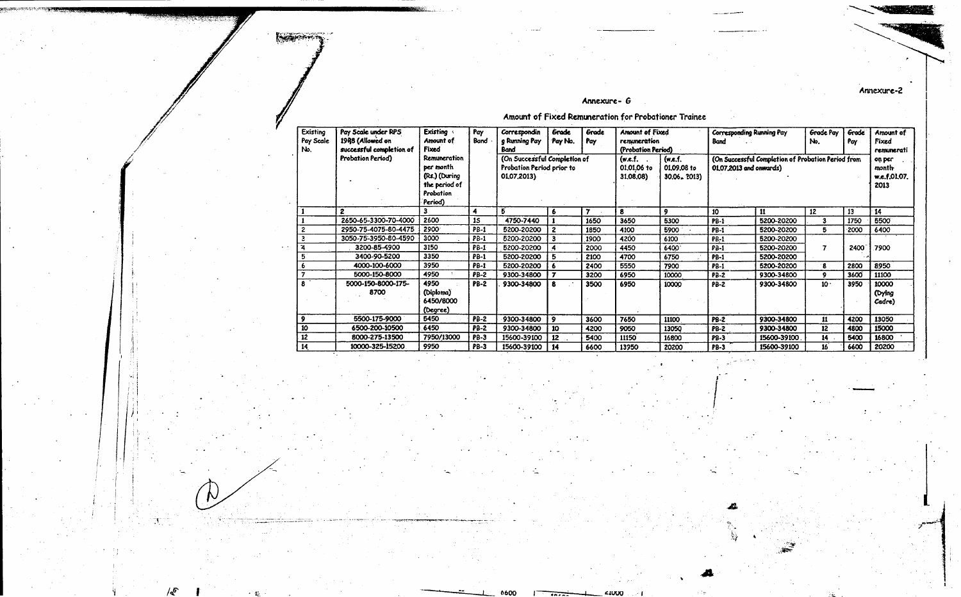#### Annexure- G

Annexure-2

Amount of Fixed Remuneration for Probationer Trainee

**Notified** 

| Existing<br>Pay Scale<br>No. | Pay Scale under RPS<br>1998 (Allowed on<br>successful completion of | <b>Existing</b><br>Amount of<br>Fixed                                               | Pay<br>Band | Correspondin<br>g Running Pay<br>Bond                                    | Grade<br>Pay No. | Grade<br>Pay   | Amount of Fixed<br>remuneration<br>(Probation Period) |                                          | Corresponding Running Pay<br><b>Band</b> |                                                    | Grade Pay<br>No. | Grade <sup>-</sup><br>Pay | Amount of<br>Fixed<br>remunerati        |
|------------------------------|---------------------------------------------------------------------|-------------------------------------------------------------------------------------|-------------|--------------------------------------------------------------------------|------------------|----------------|-------------------------------------------------------|------------------------------------------|------------------------------------------|----------------------------------------------------|------------------|---------------------------|-----------------------------------------|
|                              | Probation Period)                                                   | Remuneration<br>per month<br>(Rs.) (During<br>the period of<br>Probation<br>Period) |             | (On Successful Completion of<br>Probation Period prior to<br>01.07.2013) |                  |                | (w.e.f.<br>01,01,06 to<br>31.08.08)                   | (w.e.f.<br>01.09.08 to<br>$30.06 - 2013$ | 01.07.2013 and onwards)                  | (On Successful Completion of Probation Period from |                  |                           | on per<br>month<br>w.e.f.01.07.<br>2013 |
|                              | $\overline{2}$                                                      | 3                                                                                   | 4           | Б                                                                        | 6.               | $\overline{ }$ | 8                                                     | 9                                        | 10                                       | 11                                                 | 12               | 13                        | 14                                      |
|                              | 2650-65-3300-70-4000                                                | 2600                                                                                | <b>15</b>   | 4750-7440                                                                |                  | 1650           | 3650                                                  | 5300                                     | <b>PB-1</b>                              | 5200-20200                                         | з                | 1750                      | 5500                                    |
|                              | 2950-75-4075-80-4475                                                | 2900                                                                                | <b>PB-1</b> | 5200-20200                                                               | $\mathbf{z}$     | 1850           | 4100                                                  | 5900                                     | <b>PB-1</b>                              | 5200-20200                                         | 5                | $-2000$                   | 6400                                    |
|                              | 3050-75-3950-80-4590                                                | 3000                                                                                | <b>PB-1</b> | 5200-20200                                                               | 3                | 1900           | 4200                                                  | 6100                                     | <b>PB-1</b>                              | 5200-20200                                         |                  |                           |                                         |
|                              | 3200-85-4900                                                        | 3150                                                                                | PB-1        | 5200-20200                                                               | 4                | 2000           | 4450                                                  | 6400                                     | $PB-1$                                   | 5200-20200                                         | 7                | 2400                      | 7900                                    |
|                              | 3400-90-5200                                                        | 3350                                                                                | <b>PB-1</b> | 5200-20200                                                               | 5                | 2100           | 4700                                                  | 6750                                     | <b>PB-1</b>                              | 5200-20200                                         |                  |                           |                                         |
|                              | 4000-100-6000                                                       | 3950                                                                                | <b>PB-1</b> | 5200-20200                                                               | 6                | 2400           | 5550                                                  | 7900                                     | $PB-1$                                   | 5200-20200                                         | 8                | 2800                      | 8950                                    |
|                              | 5000-150-8000                                                       | 4950                                                                                | $PB-2$      | 9300-34800                                                               | $\overline{ }$   | 3200           | 6950                                                  | 10000                                    | <b>PB-2</b>                              | 9300-34800                                         | 9                | 3600                      | 11100                                   |
| 8                            | 5000-150-8000-175-<br>8700                                          | 4950<br>(Diploma)<br>6450/8000<br>(Degree)                                          | <b>PB-2</b> | 9300-34800                                                               | 8                | 3500           | 6950                                                  | 10000                                    | PB-2                                     | 9300-34800                                         | 10.              | 3950                      | 10000<br>(Dying<br>Cadre)               |
| 9                            | 5500-175-9000                                                       | 5450                                                                                | <b>PB-2</b> | 9300-34800                                                               | $\mathbf{9}$     | 3600           | 7650                                                  | 11100                                    | $PB-2$                                   | 9300-34800                                         | 11               | 4200                      | 13050                                   |
| 10                           | 6500-200-10500                                                      | 6450                                                                                | <b>PB-2</b> | 9300-34800                                                               | 10               | 4200           | 9050                                                  | 13050                                    | P8-2                                     | 9300-34800                                         | 12               | 4800                      | 15000                                   |
| 12                           | 8000-275-13500                                                      | 7950/13000                                                                          | <b>PB-3</b> | 15600-39100                                                              | 12               | 5400           | 11150                                                 | 16800                                    | <b>PB-3</b>                              | 15600-39100                                        | 14               | 5400                      | 16800                                   |
| 14                           | 10000-325-15200                                                     | 9950                                                                                | <b>PB-3</b> | 15600-39100                                                              | 14               | 6600           | 13950                                                 | 20200                                    | <b>PB-3</b>                              | 15600-39100                                        | 16               | 6600                      | 20200                                   |

xх

**600**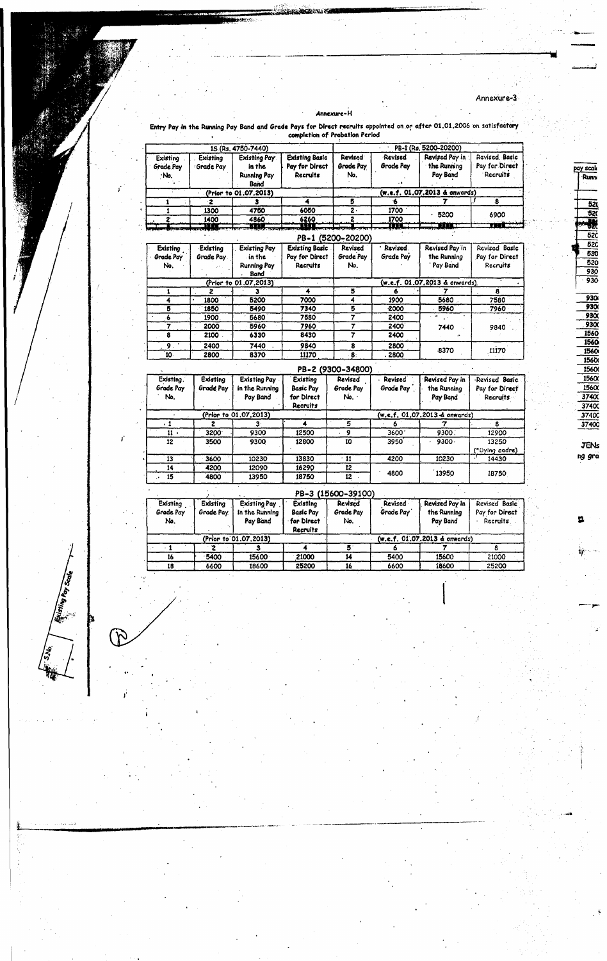Annexure-H

Annexure-3

pay scale

520<br>522<br>522<br>522<br>520<br>520<br>520<br>930<br>930

**JENs** ng gra

 $\mathbf{u}$ 

Pay Band and Grade Pays for Direct recruits appointed on or after 01.01.2006 on satisfactory<br>completion of Probation Period Entry Pay in the Run

|                              |                         | 15 (Rs. 4750-7440)            |                                                     |                             |                      | PB-1 (Rs. 5200-20200)                     |                                             |
|------------------------------|-------------------------|-------------------------------|-----------------------------------------------------|-----------------------------|----------------------|-------------------------------------------|---------------------------------------------|
| Existing<br><b>Grade Pay</b> | Existing<br>: Grade Pay | <b>Existing Pay</b><br>in the | <b>Existing Basic</b><br>Pay for Direct<br>Recruits | <b>Revised</b><br>Grade Pay | Revised<br>Grade Pay | Revised Pay in<br>the Running<br>Pay Band | Revised Basic<br>Pay for Direct<br>Recruits |
| ∵No.                         |                         | Running Pay<br>Band           |                                                     | No.                         |                      |                                           |                                             |
|                              |                         | (Prior to 01.07,2013)         |                                                     |                             |                      | (w.e.f. 01.07.2013 & onwards)             |                                             |
|                              | $\overline{\mathbf{z}}$ |                               |                                                     | 5                           | ÷                    |                                           | 8                                           |
|                              | 1300                    | 4750                          | 6050                                                | $2 -$                       | 1700                 | 5200                                      |                                             |
| 2                            | 1400                    | 4860                          | 6260                                                | 2                           | 1700                 |                                           | 6900                                        |
|                              | <b>.</b> .              | - 11                          |                                                     |                             | <b>THE</b>           | .                                         | <b>The Common</b>                           |
|                              |                         |                               |                                                     | PB-1 (5200-20200)           |                      |                                           |                                             |
| Existing                     | Existing                | <b>Existing Pay</b>           | <b>Existing Basic</b>                               | Revised                     | · Revised            | Revised Pay in                            | Revised Basic                               |
| Grade Pay                    | Grade Pay.              | in the                        | Pay for Direct                                      | Grade Pay                   | Grade Pay            | the Running                               | Pay for Direct                              |
| No.                          |                         | <b>Running Pay</b><br>Band    | Recruits                                            | No.                         |                      | Pay Band                                  | Recruits                                    |
|                              |                         | (Prior to 01.07.2013)         |                                                     |                             |                      | (w.e.f. 01.07.2013 & onwards)             |                                             |
| 1                            | 2                       |                               | 4                                                   | 5                           |                      |                                           | 8                                           |
| 4                            | 1800                    | 5200                          | 7000                                                | 4                           | 1900                 | 5680.                                     | 7580                                        |
| 5                            | 1850                    | 5490                          | 7340                                                | 5                           | $-2000$              | 5960                                      | 7960                                        |
| 6                            | 1900                    | 5680                          | 7580                                                | 7                           | 2400                 |                                           |                                             |
| 7                            | 2000                    | 5960                          | 7960                                                | 7                           | 2400                 | 7440                                      | 9840                                        |
| 8                            | 2100                    | 6330                          | 8430                                                | 7                           | 2400                 |                                           |                                             |
| 9.                           | 2400                    | 7440                          | 9840                                                | 8                           | 2800                 | 8370                                      |                                             |
| 10.                          | 2800                    | 8370                          | 11170                                               | $-8$                        | . 2800               |                                           | ,11170                                      |

|                               |                       |                                                   |                                                                      | PB-2 (9300-34800)           |                             |                                           |                                                    |
|-------------------------------|-----------------------|---------------------------------------------------|----------------------------------------------------------------------|-----------------------------|-----------------------------|-------------------------------------------|----------------------------------------------------|
| Existing.<br>Grade Pay<br>No. | Existing<br>Grade Pay | <b>Existing Pay</b><br>in the Running<br>Pay Band | <b>Existing</b><br><b>Basic Pay</b><br>for Direct<br><b>Recruits</b> | Revised<br>Grade Pay<br>No. | <b>Revised</b><br>Grade Pay | Revised Pay in<br>the Running<br>Pay Band | Revised Basic<br>Pay for Direct<br><b>Recruits</b> |
|                               |                       | (Prior to 01.07.2013)                             |                                                                      |                             |                             | (w.e.f. 01.07.2013 & onwards)             |                                                    |
|                               |                       | з.                                                |                                                                      | 5                           |                             |                                           |                                                    |
| 11                            | 3200                  | 9300                                              | 12500                                                                | 9                           | 3600                        | 9300.                                     | 12900                                              |
| 12                            | 3500                  | 9300                                              | 12800                                                                | 10                          | 3950                        | $9300 -$                                  | 13250<br>(*Dying cadre)                            |
| 13                            | 3600                  | 10230                                             | 13830                                                                | -11                         | 4200                        | 10230                                     | 14430                                              |
| 14                            | 4200                  | 12090                                             | 16290                                                                | 12                          |                             |                                           |                                                    |
| 15                            | 4800                  | 13950                                             | 18750                                                                | 12                          | 4800                        | 13950                                     | 18750                                              |

|                              |                       |                                                   |                                                        | PB-3 (15600-39100)          |                             |                                           |                                              |
|------------------------------|-----------------------|---------------------------------------------------|--------------------------------------------------------|-----------------------------|-----------------------------|-------------------------------------------|----------------------------------------------|
| Existing<br>Grade Pay<br>No. | Existing<br>Grade Pay | <b>Existing Pay</b><br>in the Running<br>Pay Band | Existing<br><b>Basic Pay</b><br>for Direct<br>Recruits | Revised<br>Grade Pay<br>No. | <b>Revised</b><br>Grade Pay | Revised Pay In<br>the Running<br>Pay Band | Revised Basic<br>Pay for Direct<br>Recruits. |
|                              |                       | (Prior to 01.07.2013)                             |                                                        |                             |                             | (w.e.f. 01.07.2013 & onwards)             |                                              |
|                              |                       |                                                   |                                                        |                             |                             |                                           |                                              |
| 16                           | 5400                  | 15600                                             | 21000                                                  |                             | 5400                        | 15600                                     | 21000                                        |
| 18                           | 6600                  | 18600                                             | 25200                                                  | 16.                         | 6600                        | 18600                                     | 25200                                        |

**Existing Pay Scale**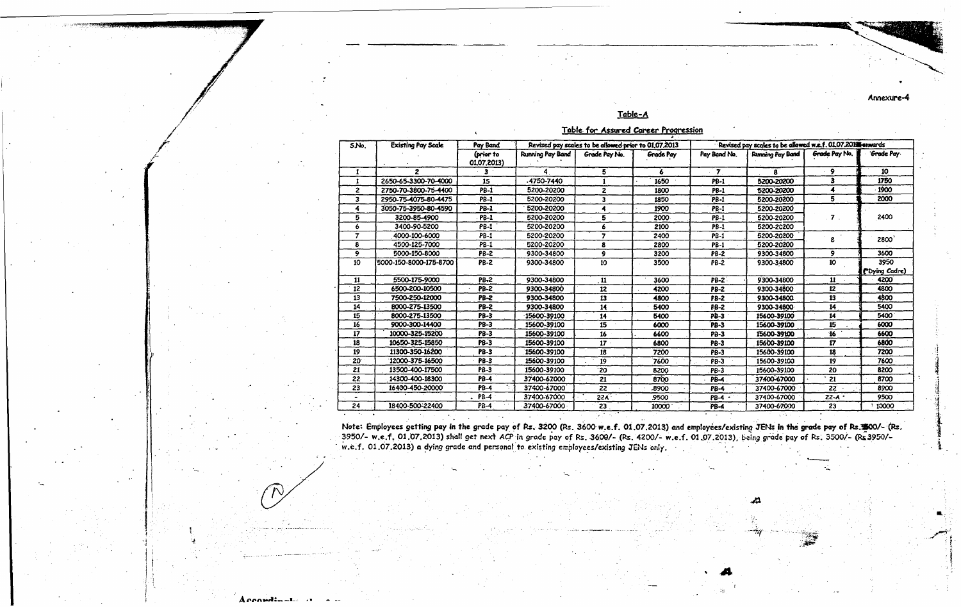#### Annexure-4

### Table-A

|  |  | <b>Table for Assured Career Progression</b> |
|--|--|---------------------------------------------|
|  |  |                                             |

| S.No.          | <b>Existing Pay Scale</b> | Pay Band                 |                         | Revised pay scales to be allowed prior to 01,07,2013 |           |              | Revised pay scales to be allowed w.e.f. 01.07.20H enwards |                |                |
|----------------|---------------------------|--------------------------|-------------------------|------------------------------------------------------|-----------|--------------|-----------------------------------------------------------|----------------|----------------|
|                |                           | (prior to<br>01.07.2013) | <b>Running Pay Band</b> | Grade Pay No.                                        | Grade Pay | Pay Band No. | Running Pay Band                                          | Grade Pay No.  | Grade Pay      |
|                | 2                         | з.                       |                         | 5                                                    | 6         | 7            | я                                                         | 9              | 10             |
|                | 2650-65-3300-70-4000      | 15                       | 4750-7440               |                                                      | 1650      | <b>PB-1</b>  | 5200-20200                                                | 3              | 1750           |
| $\mathbf{z}$   | 2750-70-3800-75-4400      | PB-1                     | 5200-20200              | $\overline{2}$                                       | 1800      | PB-1         | 5200-20200                                                | 4              | 1900           |
| 3              | 2950-75-4075-80-4475      | <b>PB-1</b>              | 5200-20200              | 3                                                    | 1850      | PB-1         | 5200-20200                                                | 5              | 2000           |
|                | 3050-75-3950-80-4590      | <b>PB-1</b>              | 5200-20200              |                                                      | 1900      | <b>PB-1</b>  | 5200-20200                                                |                |                |
| 5              | 3200-85-4900              | <b>PB-1</b>              | 5200-20200              | 5                                                    | 2000      | <b>PB-1</b>  | 5200-20200                                                | $\overline{ }$ | 2400           |
|                | 3400-90-5200              | <b>PB-1</b>              | 5200-20200              | 6                                                    | 2100      | <b>PB-1</b>  | 5200-20200                                                |                |                |
| $\overline{ }$ | 4000-100-6000             | <b>PB-1</b>              | 5200-20200              | 7                                                    | 2400      | <b>PB-1</b>  | 5200-20200                                                | 8              | 2800           |
| 8              | 4500-125-7000             | PB-1                     | 5200-20200              | 8                                                    | 2800      | <b>PB-1</b>  | 5200-20200                                                |                |                |
| 9              | 5000-150-8000             | <b>PB-2</b>              | 9300-34800              | 9                                                    | 3200      | <b>PB-2</b>  | 9300-34800                                                | 9              | 3600           |
| 10             | 5000-150-8000-175-8700    | <b>PB-2</b>              | 9300-34800              | 10                                                   | 3500      | <b>PB-2</b>  | 9300-34800                                                | 10             | 3950           |
|                |                           |                          |                         |                                                      |           |              |                                                           |                | ("Dying Cadre) |
| 11             | 5500-175-9000             | PB-2                     | 9300-34800              | 11                                                   | 3600      | <b>PB-2</b>  | 9300-34800                                                | 11             | 4200           |
| 12             | 6500-200-10500            | <b>PB-2</b>              | 9300-34800              | 12                                                   | 4200      | PB-2         | 9300-34800                                                | 12             | 4800           |
| 13             | 7500-250-12000            | PB-2                     | 9300-34800              | 13                                                   | 4800      | <b>FB-2</b>  | 9300-34800                                                | 13             | 4800           |
| 14             | 8000-275-13500            | <b>PB-2</b>              | 9300-34800              | 14                                                   | 5400      | PB-2         | 9300-34800                                                | 14             | 5400           |
| 15             | 8000-275-13500            | <b>PB-3</b>              | 15600-39100             | 14                                                   | 5400      | PB-3         | 15600-39100                                               | 14             | 5400           |
| 16             | 9000-300-14400            | <b>PB-3</b>              | 15600-39100             | 15                                                   | 6000      | $PB-3$       | 15600-39100                                               | 15             | 6000           |
| 17             | 10000-325-15200           | <b>PB-3</b>              | 15600-39100             | 16                                                   | 6600      | PB-3         | 15600-39100                                               | 16             | 6600           |
| 18             | 10650-325-15850           | PB-3                     | 15600-39100             | 17 <sub>2</sub>                                      | 6800      | PB-3         | 15600-39100                                               | 17             | 6800           |
| 19             | 11300-350-16200           | <b>PB-3</b>              | 15600-39100             | 18                                                   | 7200      | <b>PB-3</b>  | 15600-39100                                               | 18             | 7200           |
| 20             | 12000-375-16500           | <b>PB-3</b>              | 15600-39100             | 19                                                   | 7600      | <b>PB-3</b>  | 15600-39100                                               | 19             | 7600           |
| 21             | 13500-400-17500           | <b>PB-3</b>              | 15600-39100             | 20                                                   | 8200      | PB-3         | 15600-39100                                               | 20             | 8200           |
| 22             | 14300-400-18300           | <b>PB-4</b>              | 37400-67000             | 21                                                   | 8700      | <b>PB-4</b>  | 37400-67000                                               | 21             | 8700           |
| 23             | 16400-450-20000           | <b>PB-4</b>              | 37400-67000             | 22                                                   | .8900     | <b>PB-4</b>  | 37400-67000                                               | 22             | 8900           |
|                |                           | <b>PB-4</b>              | 37400-67000             | <b>22A</b>                                           | 9500      | PB-4         | 37400-67000                                               | $22 - A$       | 9500           |
| 24             | 18400-500-22400           | <b>PB-4</b>              | 37400-67000             | 23                                                   | 10000     | PB-4         | 37400-67000                                               | 23             | 10000          |

Note: Employees getting pay in the grade pay of Rs. 3200 (Rs. 3600 w.e.f. 01.07.2013) and employees/existing JENs in the grade pay of Rs. \$600/- (Rs.<br>3950/- w.e.f. 01.07.2013) shall get next ACP in grade pay of Rs. 3600/-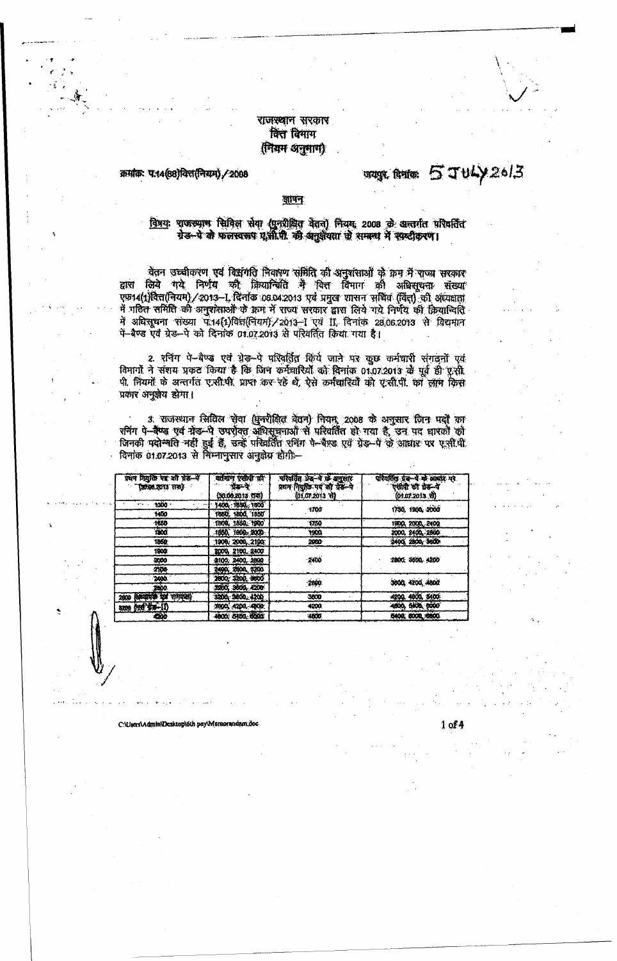## राजस्थान सरकार वित्त विमाग (नियम अनुमाण)

क्रमांकः प:14(88)वित्त(नियम) / 2008

# urgs. Autor 5 JULY 26/3

#### जापन

विषयः पाजस्थान सिविल सेवा (पुनरीक्षित वेतन) नियमः 2008 के अन्तर्गत परिवर्तित ग्रेड-पे के फलस्वरूप ए.सी.पी. की अनुशंयता के सम्बन्ध में स्पष्टीकरण।

ेवेतन उच्चीकरण एवं विश्वगति निवारण समिति की अनुसंसाओं के क्रम में राज्य सरकार<br>लिये गये निर्णय की क्रियान्त्रिति मै वित्त विमाग की अभिसूचना संख्या द्वांस एफ़14(1)वित्त(नियम) / 2013-1 विनोक 06.04.2013 एवं प्रमुख शासन समित (वित्त) की अध्यक्षता में गठित समिति की अनुशंसाओं के क्रम में राज्य सरकार द्वारा लिये गये निर्णय की क्रियाचिति में अधिसूचना संख्या पें:14(1)विज्ञ(नियम)/2013-1 एवं II, दिनांक 28,06.2013 से विद्यमान<br>पें-बैण्ड एवं ग्रेड-पे को दिनांक 01.07.2013 से परिवर्तित किया गया है।

2. रनिंग पे-बैण्ड एवं ग्रेड-पे परिवर्तित किये जाने पर कुछ कर्मचारी संगठनों एवं विभागों ने संशय प्रकट किया है कि जिन कर्मचारियों को दिनांक 01.07.2013 के पूर्व ही एसी पी. नियमों के अन्तर्गत ए.सी.पी. प्राप्त कर रहें थे, ऐसे कर्मचारियों को ए.सी.पी. का लाम किस प्रकार अनुजेय होगा।

3. राजस्थान सिविल सेवा (युनरीक्षित बेतन) नियम, 2008 के अनुसार जिन पदों का रनिंग पे-वैष्ड एवं ग्रेड-पे उपरोक्त अधिसूचनाओं से परिवर्तित हो गया है, उन पद धारकों को<br>जिनकी पदोन्चति नहीं हुई हैं, उन्हें परिवर्तित रनिंग पे-वैण्ड एवं ग्रेड-पे के आधार पर एसी.बी.<br>दिनांक 01.07.2013 से विम्नानुसार अनुक्रेय

| प्रथम नियुक्ति पद्द की ग्रेड--पे<br>(३०,९६,२०१३ तक) | वर्तमान एसीपी की<br>प्रसन्दर | परिवर्तित भेद-पे प्रो अनुसार<br>प्रथम नियुक्ति पद को ग्रेड-पे | परिवर्तित ग्रेड-पे के आवार पर<br>एसीपी की ग्रेस-पे |  |  |
|-----------------------------------------------------|------------------------------|---------------------------------------------------------------|----------------------------------------------------|--|--|
|                                                     | (30.00.2013.079)             | (01.07.2013 से)                                               | (01.07.2013.31)                                    |  |  |
| 1300                                                | 1400 1650 1600               |                                                               |                                                    |  |  |
| 1400                                                | 1660, 1800, 1850             | $-1700$                                                       | 1750, 1900, 2000                                   |  |  |
| 1650                                                | 1800, 1850, 1960             | 1750                                                          | 1900, 2000, 2100                                   |  |  |
| YOO.                                                | 1850, 1900, 2000.            | 1900                                                          | 2000, 2400, 2800                                   |  |  |
| 1850                                                | 1900, 2000, 2100.            | 2000                                                          | 2400, 2800, 3600                                   |  |  |
| 1900.                                               | 2000, 2100, 2400             |                                                               |                                                    |  |  |
| 2000                                                | 2100, 2400, 2000             | 2400                                                          | 2800. 3600. 4200                                   |  |  |
| 2100                                                | 2400, 2800, 3200             |                                                               |                                                    |  |  |
| 2400.                                               | 2800, 3200, 3600             | 2000                                                          | 3600, 4200, 4800                                   |  |  |
| 2000                                                | 3200, 3600, 4200             |                                                               |                                                    |  |  |
| (अन्यापक पर्व समयता)<br>2000                        | 3200 3600 4200               | 3600                                                          | 4200, 4600, 5400                                   |  |  |
| 3209 644 178-11)                                    | 3600, 4200, 4800.            | 4200                                                          | 4500, 5400, 5000                                   |  |  |
| 4200                                                | 4800, 5400, 6000             | 4000                                                          | 5400, 5000, 6000                                   |  |  |

C:\Lisers\Admin\Desktop\6th pay\Memoranda

 $1 of 4$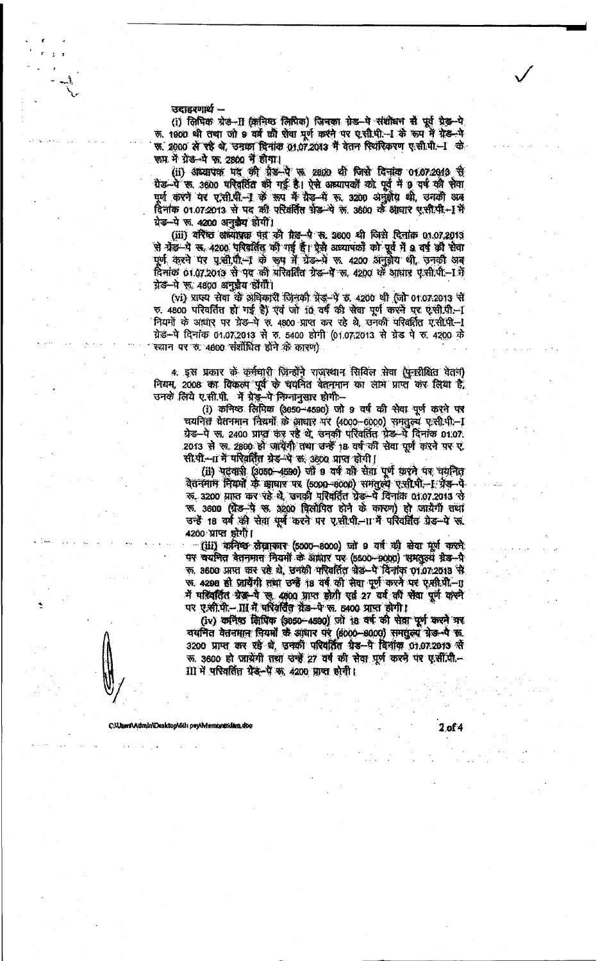जदाहरणार्थ -

(i) लिपिक ग्रेड-II (क्रमिश लिपिक) जिनका ग्रेड-पे संशोधन से पूर्व ग्रेड-पे रू. 1900 थी तथा जो 9 वर्ष को प्रेया पूर्ण करने पर एसी.पी.-। के रूप में ग्रेड-पे फ. 2000 से रहे थे, उनका दिनांक 01.07.2013 में वेतन रियरिकरण ए.सी.पी.-1 के फम में ग्रेड-मे फ़. 2800 में होगा।

(ii) अध्यापक पद की ग्रेड-पे रू 2800 थी जिसे दिनांक 01.07.2013 से ग्रेड-पें क. 3600 परिवर्तित की गई है। ऐसे अध्यापकों को पूर्व में 9 वर्ष की सेवा पूर्ण करने पर ए.सी.पी.-1 के रूप में ग्रेड-में रू. 3200 अनुहोय थी, उनकी अब दिनांक 01.07:2013 से पद की परिवर्तित फ्रेंड-पे ऊ. 3600 के आधार एसी.पी.-1 में ग्रेड-पे रु. 4200 अनुक्रैय होगीं।

(iii) वरिष्ठ अध्यापक पर की ग्रेह-पे रू. 3600 थी जिसे दिनांक 01.07.2013 से ग्रेड़-पे स. 4200 परिवर्तित की गई हैं। ऐसे अध्यापकों को पूर्व में 9 वर्ष की सेवा पूर्ण करने पर पृथ्वी,पी.- के रूप में ग्रेड-भे रू. 4200 अनुवेध थी, उनकी अब दिनांक 01.07.2013 से पद की परिवर्तित ग्रेड-पे ज, 4200 के आधार ए.सी.पी.-1 में ग्रेड-पे फ़. 4800 अनुजैय होंगी।

(vi) प्राज्य सेवा के अधिकारी जिनकी ग्रेड-पे ड. 4200 थी (जो 01.07.2013 से ए. 4800 परिवर्तित हो गई है) एवं जो 10 वर्ष की सेवा पूर्ण करने पर एसी.पी.-1 नियमों के आधार पर ग्रेड-पे रू. 4800 प्राप्त कर रहे थे, उनकी परिवर्तित ए.सी.पी.--1 ग्रेड-पे दिनांक 01.07.2013 से रु. 5400 होगी (01.07.2013 से ग्रेड पे रु. 4200 के स्थान पर रु. 4800 संशोधित होने के कारण)

4. इस प्रकार के कर्मचारी जिन्होंने राजस्थान सिविल सेवा (पुनरीक्षित वेतन) नियम, 2008 का विकल्प पूर्व के चयनित वेतनमान का लोग प्राप्त कर लिया है.<br>उनके लिये ए.सी.पी. में ग्रेड-पे निम्नानुसार होगी -

(i) कनिष्ठ लिपिक (3050-4590) जो 9 वर्ष की सेवा पूर्ण करने पर चयनित मेतनमान नियमों के आधार पर (4000-6000) समतुल्ये ए.सी.पी - I ग्रेड-पे रा. 2400 प्राप्त कर रहे थे. उनकी परिवर्तित ग्रेड-पे दिनांक 01.07. 2013 से रू. 2800 हो आयेगी तथा उन्हें 18 वर्ष की सेवा पूर्ण करने पर ए. सी.पी.--11 में परिवर्तित ग्रेड-पे क. 3600 प्राप्त होंगी।

(ii) पटवारी (3050-4590) जो 9 वर्ष की सेवा पूर्ण करने पर चयनित वैतनमाम नियमों के आधार पर (5000-8000) समतल्य एसी.पी.-1 ग्रेड-पे रू. 3200 प्राप्त कर रहे थे, उनकी परिवर्तित ग्रेड-पे दिनांक 01.07.2013 से क. 3600 (ग्रेड-पे क. 3200 पिलोपित होने के कारण) हो जायेगी तथा उन्हें 18 वर्ष की सेवा पूर्व करने पर ए.सी.पी.-।। मैं परिवर्तित ग्रेड-पे रह 4200 प्राप्त होगी।

(iii) कनिष्ठ लेखाकार (5000-8000) जो 9 वर्ष की सेया पूर्ण करने पर वयनित वेतनमान मियमों के आधार पर (5500-9000) समतुल्य ग्रेड-पै रू. 3600 प्राप्त कर रहे थे, उनकी परिवर्तित बेड-पे दिनांक 01.07.2013 से रू. 4290 हो जायेंगी तथा उन्हें 18 वर्ष की सेवा पूर्ण करने पर एसी.पी.-गु में परिवर्तित ग्रेड-पे लू. 4800 प्राप्त होती एवं 27 वर्ष की सेवा पूर्ण करने पर ए.जी.मी.- III में परिवर्तित ग्रेड-पे फ. 5400 प्राप्त होगी।

(iv) कमिष्ठ जिपिक (3050-4590) जो 18 वर्ष की सेवा पूर्ण करने गर<br>वयनित वेतनमान नियमों से आधार पर (6000-6000) समतुल्य ग्रेड-पे रू 3200 प्राप्त कर रहे थे, उनकी परिवर्तित ग्रेड-पे विनांक 01.07.2013 से रू. 3600 हो जायेंगी तथा उन्हें 27 वर्ष की सेवा पूर्ण करने पर ए.सी.पी.--III में परिवर्तित ग्रेड-पे क, 4200 प्राप्त होगी।

CMIsers\Admin\Desktop\6tly pay\Memoratidam.doc

2 of 4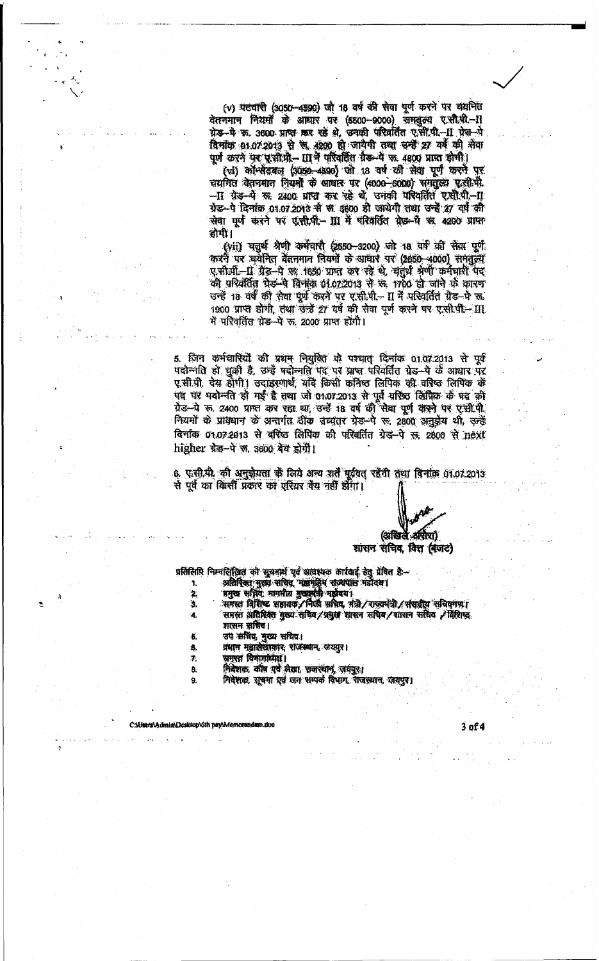(v) पटवारी (3050-4590) जो 18 वर्ष की सेवा पूर्ण करने पर चयनित वेतनमान नियमों के आधार पर (5500-9000) समतुल्य ए.सी.पी.-11 ग्रेड-वे फ. 3600 प्राप्त कर रहे थे, उनकी परिवर्तित ए.सी.पी.-11 ग्रेड-पे विमांक 01.07.2013 से स. 4290 हो जायेगी तथा उन्हें 27 यर्ष की सेवा पूर्ण करने पर पूजीपी – III में परिवर्तित ग्रैड-पे रू. 4800 प्राप्त होगी।

(vi) कॉन्सेंटबल (3050-4330) जो 18 वर्ष को सेवा पूर्ण करने पर चयनित वेतनमान नियमों के आवार पर (4000-6000) समतुल्य ए.सी.पी. -II ग्रेड-पे रू. 2400 प्राप्त कर रहे थे, उनकी परिवर्तित ए.सी.पी.-II ग्रेड-पे दिनांक 01.07.2013 से स. 3600 हो जायेगी तथा उन्हें 27 वर्ष की सेवा पूर्ण करने पर एसी.पी ॥ में परिवर्तित ग्रेड-पै अः 4200 प्राप्त होगी।

(vii) चतुर्थ श्रेणी कर्मचारी (2550-3200) जो 18 वर्ष की सेवा पूर्ण कारनै पर चयनित बेतनमान नियमों के आधार पर (2650-4000) समतुल्य ए.सी.पी.-11 ग्रैड-पे का 1850 प्राप्त कर रहे थे, चतुर्थ श्रेणी कर्मचारी पद की परिवर्तित पेड़-पे दिनांक 01.07.2013 से फ़. 1700 हो जाने के कारण उन्हें 18 वर्ष की सेवा पूर्ण करने पर ए.सी.पी.- II में परिवर्तित ग्रेड-भे रू. 1900 प्राप्त होगी, तथा उन्हें 27 वर्ष की सेवा पूर्ण करने पर ए.सी.पी - III में परिवर्तित ग्रेड–पे रू. 2000 प्राप्त होंगी।

5. जिन कर्मचारियों की प्रथम नियुक्ति के पश्चात दिनांक 01.07.2013 से पूर्व पदोन्नति हो चूकी है, उन्हें पदोन्नति पद पर प्राप्त परिवर्तित ग्रेड-पे के आधार पर ए.सी.पी. देस होगी। उदाहरणार्थ, यदि किसी कनिष्ठ लिपिक की वरिष्ठ लिपिक के पद पर पदोन्नति हो गई है तथा जो 01.07.2013 से पूर्व वरिष्ठ लिपिक के पद की ग्रैड-पे रू. 2400 प्राप्त कर रहा था, उन्हें 18 वर्ष की रीबा पूर्ण करने पर एसी.पी. नियमों के प्रावधान के अन्तर्गत ठीक उच्चतर ग्रेड-पे रू, 2800 अनुईय थी, उन्हें बिनाक 01.07.2013 से बरिष्ठ लिपिक की परिवर्तित ग्रेड-पे स, 2800 से next higher ग्रेड-पे ल. 3600 देव होगी।

6. एसी.पी. की अनुक्रेयता के लिये अन्य शर्तें पूर्ववत् रहेंगी तथा विनांक 01.07.2013 से पूर्व का किसी प्रकार का एरियर तैय नहीं होगा।

(अखिले अरोरा)

शासन संचिव, वित्त (बजट)

प्रतिलिपि निम्नलिखित को सूचनार्थ एवं आवश्यक कार्रवाई हेतु प्रेषित हैं-

- 
- $\mathbf{2}$
- अतिरिक्त बुख्य सचित्र भाषांति राज्यपास नहीदय।<br>भनुष्य अस्तिः मानसीय बुख्यमंत्री नहीवय।<br>समस्त विशिष्ट भन्नायक/निर्णय सचिव, नंत्री/राज्यमंत्री/संसद्वीय सचिवनणा<br>समस्त अतिरिक्त बुख्य सचिव/प्रमुख शासन सचिव/शासन सचिव /विशिष्ट  $\overline{\mathbf{3}}$ 
	-
	- शासन सचिव।
	- उप सविद्य मुख्य सचिव।
	- प्रधान महालेखाकार, राजस्थान, जयपुर।
	- समस्त विभागाध्यक्ष।
	- निवेशकः कौष एवं लेखा, राजस्थान, जयपुर।
	- निदेशक, सूचना एवं जन सम्पर्क विभाग, राजस्थान, जबपुर।

.<br>CAUsers\Admin\Desktop\6th pey\Memorandam.do

4.

٠B.

ß.

Ż.

8.

9.

 $3$  of  $4$